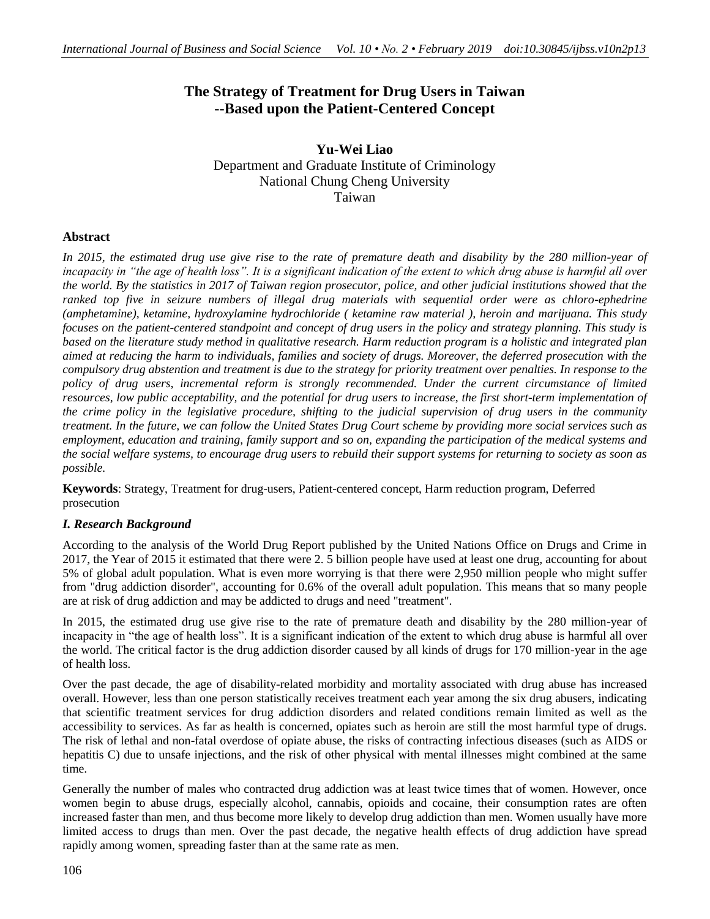# **The Strategy of Treatment for Drug Users in Taiwan --Based upon the Patient-Centered Concept**

**Yu-Wei Liao** Department and Graduate Institute of Criminology National Chung Cheng University Taiwan

# **Abstract**

In 2015, the estimated drug use give rise to the rate of premature death and disability by the 280 million-year of *incapacity in "the age of health loss". It is a significant indication of the extent to which drug abuse is harmful all over the world. By the statistics in 2017 of Taiwan region prosecutor, police, and other judicial institutions showed that the ranked top five in seizure numbers of illegal drug materials with sequential order were as chloro-ephedrine (amphetamine), ketamine, hydroxylamine hydrochloride ( ketamine raw material ), heroin and marijuana. This study focuses on the patient-centered standpoint and concept of drug users in the policy and strategy planning. This study is based on the literature study method in qualitative research. Harm reduction program is a holistic and integrated plan aimed at reducing the harm to individuals, families and society of drugs. Moreover, the deferred prosecution with the compulsory drug abstention and treatment is due to the strategy for priority treatment over penalties. In response to the*  policy of drug users, incremental reform is strongly recommended. Under the current circumstance of limited *resources, low public acceptability, and the potential for drug users to increase, the first short-term implementation of the crime policy in the legislative procedure, shifting to the judicial supervision of drug users in the community treatment. In the future, we can follow the United States Drug Court scheme by providing more social services such as employment, education and training, family support and so on, expanding the participation of the medical systems and the social welfare systems, to encourage drug users to rebuild their support systems for returning to society as soon as possible.*

**Keywords**: Strategy, Treatment for drug-users, Patient-centered concept, Harm reduction program, Deferred prosecution

# *I. Research Background*

According to the analysis of the World Drug Report published by the United Nations Office on Drugs and Crime in 2017, the Year of 2015 it estimated that there were 2. 5 billion people have used at least one drug, accounting for about 5% of global adult population. What is even more worrying is that there were 2,950 million people who might suffer from "drug addiction disorder", accounting for 0.6% of the overall adult population. This means that so many people are at risk of drug addiction and may be addicted to drugs and need "treatment".

In 2015, the estimated drug use give rise to the rate of premature death and disability by the 280 million-year of incapacity in "the age of health loss". It is a significant indication of the extent to which drug abuse is harmful all over the world. The critical factor is the drug addiction disorder caused by all kinds of drugs for 170 million-year in the age of health loss.

Over the past decade, the age of disability-related morbidity and mortality associated with drug abuse has increased overall. However, less than one person statistically receives treatment each year among the six drug abusers, indicating that scientific treatment services for drug addiction disorders and related conditions remain limited as well as the accessibility to services. As far as health is concerned, opiates such as heroin are still the most harmful type of drugs. The risk of lethal and non-fatal overdose of opiate abuse, the risks of contracting infectious diseases (such as AIDS or hepatitis C) due to unsafe injections, and the risk of other physical with mental illnesses might combined at the same time.

Generally the number of males who contracted drug addiction was at least twice times that of women. However, once women begin to abuse drugs, especially alcohol, cannabis, opioids and cocaine, their consumption rates are often increased faster than men, and thus become more likely to develop drug addiction than men. Women usually have more limited access to drugs than men. Over the past decade, the negative health effects of drug addiction have spread rapidly among women, spreading faster than at the same rate as men.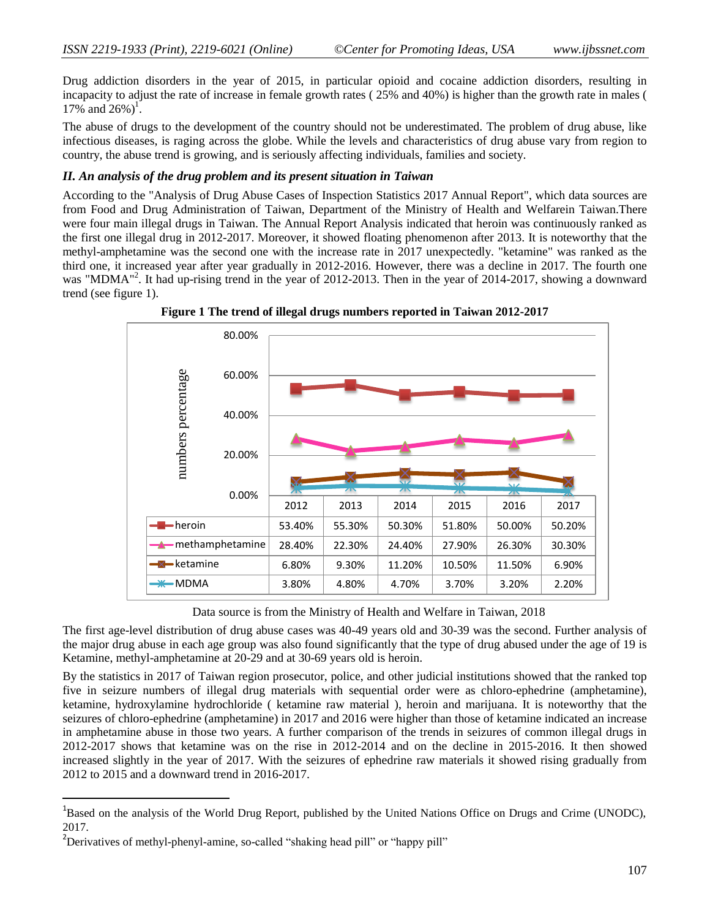Drug addiction disorders in the year of 2015, in particular opioid and cocaine addiction disorders, resulting in incapacity to adjust the rate of increase in female growth rates ( 25% and 40%) is higher than the growth rate in males (  $17\%$  and  $26\%$ )<sup>1</sup>.

The abuse of drugs to the development of the country should not be underestimated. The problem of drug abuse, like infectious diseases, is raging across the globe. While the levels and characteristics of drug abuse vary from region to country, the abuse trend is growing, and is seriously affecting individuals, families and society.

### *II. An analysis of the drug problem and its present situation in Taiwan*

According to the "Analysis of Drug Abuse Cases of Inspection Statistics 2017 Annual Report", which data sources are from Food and Drug Administration of Taiwan, Department of the Ministry of Health and Welfarein Taiwan.There were four main illegal drugs in Taiwan. The Annual Report Analysis indicated that heroin was continuously ranked as the first one illegal drug in 2012-2017. Moreover, it showed floating phenomenon after 2013. It is noteworthy that the methyl-amphetamine was the second one with the increase rate in 2017 unexpectedly. "ketamine" was ranked as the third one, it increased year after year gradually in 2012-2016. However, there was a decline in 2017. The fourth one was "MDMA"<sup>2</sup>. It had up-rising trend in the year of 2012-2013. Then in the year of 2014-2017, showing a downward trend (see figure 1).





Data source is from the Ministry of Health and Welfare in Taiwan, 2018

The first age-level distribution of drug abuse cases was 40-49 years old and 30-39 was the second. Further analysis of the major drug abuse in each age group was also found significantly that the type of drug abused under the age of 19 is Ketamine, methyl-amphetamine at 20-29 and at 30-69 years old is heroin.

By the statistics in 2017 of Taiwan region prosecutor, police, and other judicial institutions showed that the ranked top five in seizure numbers of illegal drug materials with sequential order were as chloro-ephedrine (amphetamine), ketamine, hydroxylamine hydrochloride ( ketamine raw material ), heroin and marijuana. It is noteworthy that the seizures of chloro-ephedrine (amphetamine) in 2017 and 2016 were higher than those of ketamine indicated an increase in amphetamine abuse in those two years. A further comparison of the trends in seizures of common illegal drugs in 2012-2017 shows that ketamine was on the rise in 2012-2014 and on the decline in 2015-2016. It then showed increased slightly in the year of 2017. With the seizures of ephedrine raw materials it showed rising gradually from 2012 to 2015 and a downward trend in 2016-2017.

<sup>&</sup>lt;sup>1</sup>Based on the analysis of the World Drug Report, published by the United Nations Office on Drugs and Crime (UNODC), 2017.

<sup>&</sup>lt;sup>2</sup>Derivatives of methyl-phenyl-amine, so-called "shaking head pill" or "happy pill"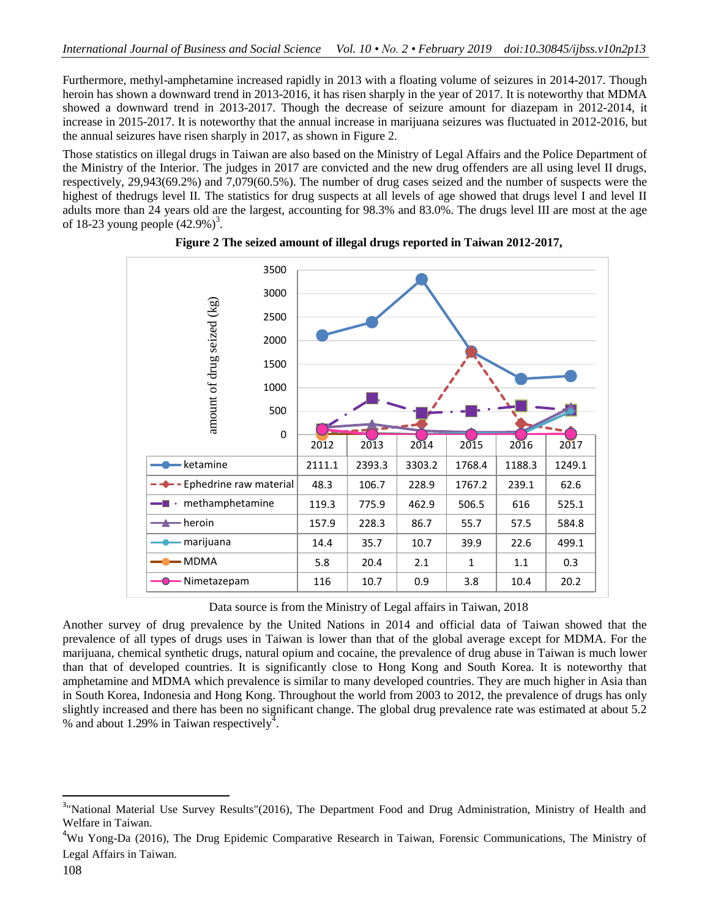Furthermore, methyl-amphetamine increased rapidly in 2013 with a floating volume of seizures in 2014-2017. Though heroin has shown a downward trend in 2013-2016, it has risen sharply in the year of 2017. It is noteworthy that MDMA showed a downward trend in 2013-2017. Though the decrease of seizure amount for diazepam in 2012-2014, it increase in 2015-2017. It is noteworthy that the annual increase in marijuana seizures was fluctuated in 2012-2016, but the annual seizures have risen sharply in 2017, as shown in Figure 2.

Those statistics on illegal drugs in Taiwan are also based on the Ministry of Legal Affairs and the Police Department of the Ministry of the Interior. The judges in 2017 are convicted and the new drug offenders are all using level II drugs, respectively, 29,943(69.2%) and 7,079(60.5%). The number of drug cases seized and the number of suspects were the highest of thedrugs level II. The statistics for drug suspects at all levels of age showed that drugs level I and level II adults more than 24 years old are the largest, accounting for 98.3% and 83.0%. The drugs level III are most at the age of 18-23 young people  $(42.9\%)^3$ .



**Figure 2 The seized amount of illegal drugs reported in Taiwan 2012-2017,**

Data source is from the Ministry of Legal affairs in Taiwan, 2018

Another survey of drug prevalence by the United Nations in 2014 and official data of Taiwan showed that the prevalence of all types of drugs uses in Taiwan is lower than that of the global average except for MDMA. For the marijuana, chemical synthetic drugs, natural opium and cocaine, the prevalence of drug abuse in Taiwan is much lower than that of developed countries. It is significantly close to Hong Kong and South Korea. It is noteworthy that amphetamine and MDMA which prevalence is similar to many developed countries. They are much higher in Asia than in South Korea, Indonesia and Hong Kong. Throughout the world from 2003 to 2012, the prevalence of drugs has only slightly increased and there has been no significant change. The global drug prevalence rate was estimated at about 5.2 % and about 1.29% in Taiwan respectively<sup>4</sup>.

<sup>&</sup>lt;sup>3</sup>"National Material Use Survey Results"(2016), The Department Food and Drug Administration, Ministry of Health and Welfare in Taiwan.

<sup>4</sup>Wu Yong-Da (2016), The Drug Epidemic Comparative Research in Taiwan, Forensic Communications, The Ministry of Legal Affairs in Taiwan.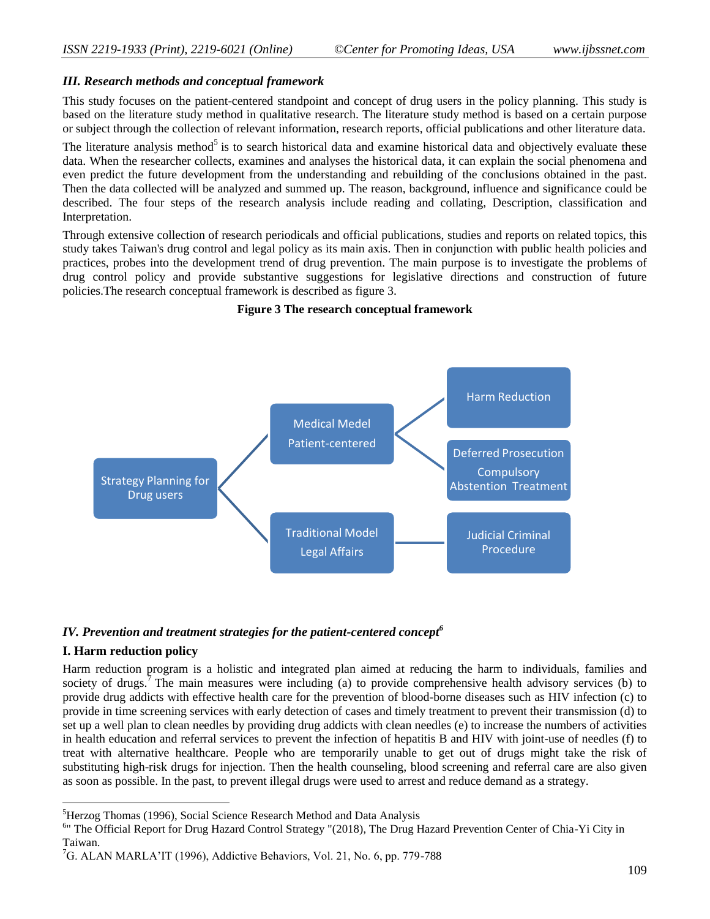### *III. Research methods and conceptual framework*

This study focuses on the patient-centered standpoint and concept of drug users in the policy planning. This study is based on the literature study method in qualitative research. The literature study method is based on a certain purpose or subject through the collection of relevant information, research reports, official publications and other literature data.

The literature analysis method<sup>5</sup> is to search historical data and examine historical data and objectively evaluate these data. When the researcher collects, examines and analyses the historical data, it can explain the social phenomena and even predict the future development from the understanding and rebuilding of the conclusions obtained in the past. Then the data collected will be analyzed and summed up. The reason, background, influence and significance could be described. The four steps of the research analysis include reading and collating, Description, classification and Interpretation.

Through extensive collection of research periodicals and official publications, studies and reports on related topics, this study takes Taiwan's drug control and legal policy as its main axis. Then in conjunction with public health policies and practices, probes into the development trend of drug prevention. The main purpose is to investigate the problems of drug control policy and provide substantive suggestions for legislative directions and construction of future policies.The research conceptual framework is described as figure 3.

#### **Figure 3 The research conceptual framework**



# *IV. Prevention and treatment strategies for the patient-centered concept<sup>6</sup>*

# **I. Harm reduction policy**

 $\overline{\phantom{a}}$ 

Harm reduction program is a holistic and integrated plan aimed at reducing the harm to individuals, families and society of drugs.<sup>7</sup> The main measures were including (a) to provide comprehensive health advisory services (b) to provide drug addicts with effective health care for the prevention of blood-borne diseases such as HIV infection (c) to provide in time screening services with early detection of cases and timely treatment to prevent their transmission (d) to set up a well plan to clean needles by providing drug addicts with clean needles (e) to increase the numbers of activities in health education and referral services to prevent the infection of hepatitis B and HIV with joint-use of needles (f) to treat with alternative healthcare. People who are temporarily unable to get out of drugs might take the risk of substituting high-risk drugs for injection. Then the health counseling, blood screening and referral care are also given as soon as possible. In the past, to prevent illegal drugs were used to arrest and reduce demand as a strategy.

<sup>&</sup>lt;sup>5</sup>Herzog Thomas (1996), Social Science Research Method and Data Analysis

<sup>&</sup>lt;sup>6</sup>" The Official Report for Drug Hazard Control Strategy "(2018), The Drug Hazard Prevention Center of Chia-Yi City in Taiwan.

<sup>&</sup>lt;sup>7</sup>G. ALAN MARLA'IT (1996), Addictive Behaviors, Vol. 21, No. 6, pp. 779-788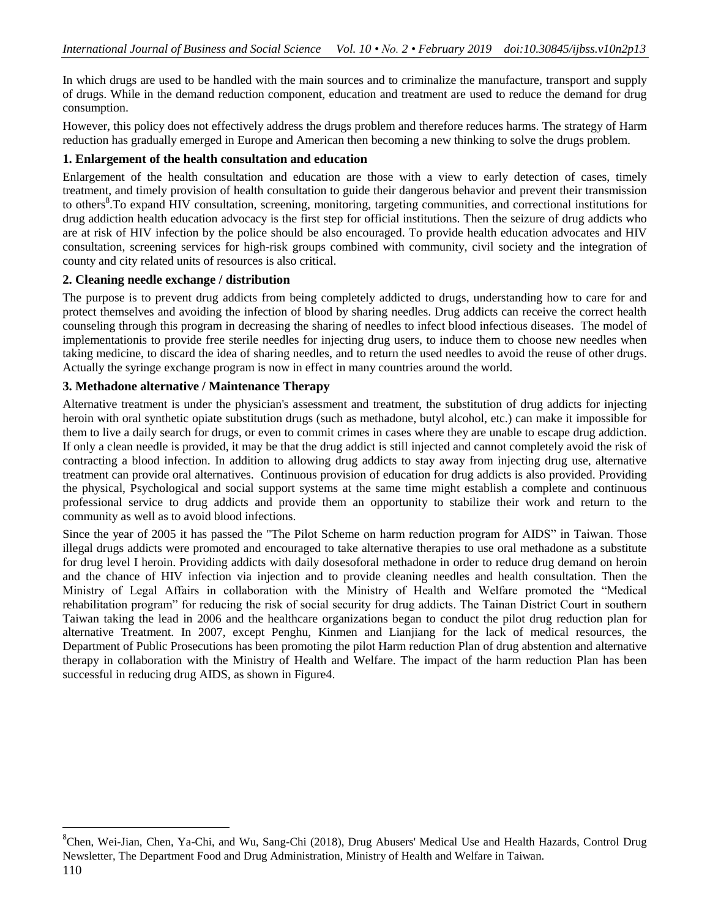In which drugs are used to be handled with the main sources and to criminalize the manufacture, transport and supply of drugs. While in the demand reduction component, education and treatment are used to reduce the demand for drug consumption.

However, this policy does not effectively address the drugs problem and therefore reduces harms. The strategy of Harm reduction has gradually emerged in Europe and American then becoming a new thinking to solve the drugs problem.

# **1. Enlargement of the health consultation and education**

Enlargement of the health consultation and education are those with a view to early detection of cases, timely treatment, and timely provision of health consultation to guide their dangerous behavior and prevent their transmission to others<sup>8</sup>. To expand HIV consultation, screening, monitoring, targeting communities, and correctional institutions for drug addiction health education advocacy is the first step for official institutions. Then the seizure of drug addicts who are at risk of HIV infection by the police should be also encouraged. To provide health education advocates and HIV consultation, screening services for high-risk groups combined with community, civil society and the integration of county and city related units of resources is also critical.

# **2. Cleaning needle exchange / distribution**

The purpose is to prevent drug addicts from being completely addicted to drugs, understanding how to care for and protect themselves and avoiding the infection of blood by sharing needles. Drug addicts can receive the correct health counseling through this program in decreasing the sharing of needles to infect blood infectious diseases. The model of implementationis to provide free sterile needles for injecting drug users, to induce them to choose new needles when taking medicine, to discard the idea of sharing needles, and to return the used needles to avoid the reuse of other drugs. Actually the syringe exchange program is now in effect in many countries around the world.

# **3. Methadone alternative / Maintenance Therapy**

Alternative treatment is under the physician's assessment and treatment, the substitution of drug addicts for injecting heroin with oral synthetic opiate substitution drugs (such as methadone, butyl alcohol, etc.) can make it impossible for them to live a daily search for drugs, or even to commit crimes in cases where they are unable to escape drug addiction. If only a clean needle is provided, it may be that the drug addict is still injected and cannot completely avoid the risk of contracting a blood infection. In addition to allowing drug addicts to stay away from injecting drug use, alternative treatment can provide oral alternatives. Continuous provision of education for drug addicts is also provided. Providing the physical, Psychological and social support systems at the same time might establish a complete and continuous professional service to drug addicts and provide them an opportunity to stabilize their work and return to the community as well as to avoid blood infections.

Since the year of 2005 it has passed the "The Pilot Scheme on harm reduction program for AIDS" in Taiwan. Those illegal drugs addicts were promoted and encouraged to take alternative therapies to use oral methadone as a substitute for drug level I heroin. Providing addicts with daily dosesoforal methadone in order to reduce drug demand on heroin and the chance of HIV infection via injection and to provide cleaning needles and health consultation. Then the Ministry of Legal Affairs in collaboration with the Ministry of Health and Welfare promoted the "Medical rehabilitation program" for reducing the risk of social security for drug addicts. The Tainan District Court in southern Taiwan taking the lead in 2006 and the healthcare organizations began to conduct the pilot drug reduction plan for alternative Treatment. In 2007, except Penghu, Kinmen and Lianjiang for the lack of medical resources, the Department of Public Prosecutions has been promoting the pilot Harm reduction Plan of drug abstention and alternative therapy in collaboration with the Ministry of Health and Welfare. The impact of the harm reduction Plan has been successful in reducing drug AIDS, as shown in Figure4.

 $\overline{a}$ 

<sup>&</sup>lt;sup>8</sup>Chen, Wei-Jian, Chen, Ya-Chi, and Wu, Sang-Chi (2018), Drug Abusers' Medical Use and Health Hazards, Control Drug Newsletter, The Department Food and Drug Administration, Ministry of Health and Welfare in Taiwan.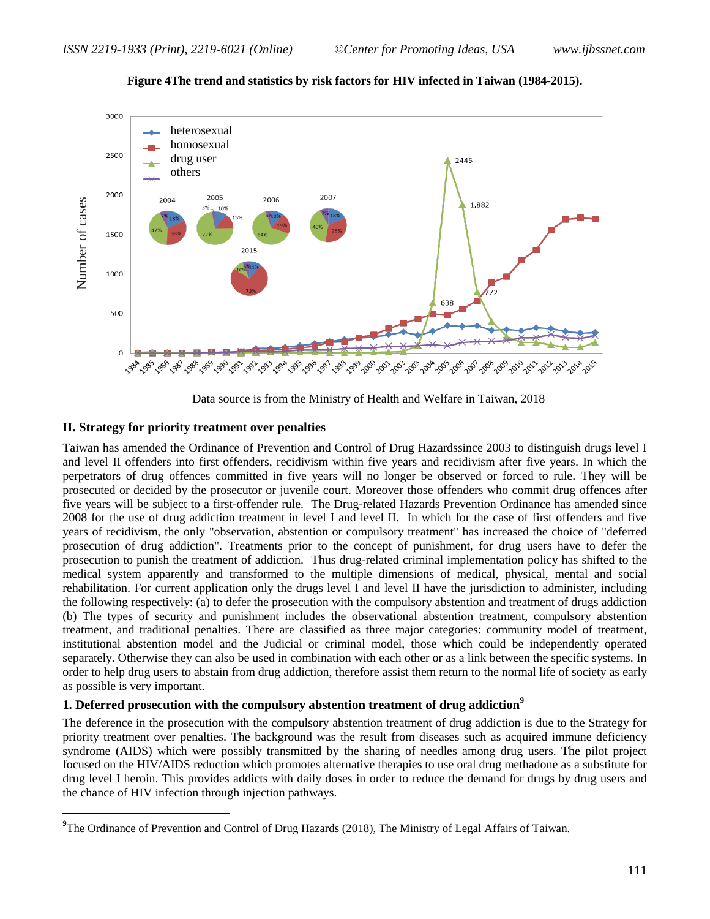

**Figure 4The trend and statistics by risk factors for HIV infected in Taiwan (1984-2015).**

Data source is from the Ministry of Health and Welfare in Taiwan, 2018

# **II. Strategy for priority treatment over penalties**

 $\overline{\phantom{a}}$ 

Taiwan has amended the Ordinance of Prevention and Control of Drug Hazardssince 2003 to distinguish drugs level I and level II offenders into first offenders, recidivism within five years and recidivism after five years. In which the perpetrators of drug offences committed in five years will no longer be observed or forced to rule. They will be prosecuted or decided by the prosecutor or juvenile court. Moreover those offenders who commit drug offences after five years will be subject to a first-offender rule. The Drug-related Hazards Prevention Ordinance has amended since 2008 for the use of drug addiction treatment in level I and level II. In which for the case of first offenders and five years of recidivism, the only "observation, abstention or compulsory treatment" has increased the choice of "deferred prosecution of drug addiction". Treatments prior to the concept of punishment, for drug users have to defer the prosecution to punish the treatment of addiction. Thus drug-related criminal implementation policy has shifted to the medical system apparently and transformed to the multiple dimensions of medical, physical, mental and social rehabilitation. For current application only the drugs level I and level II have the jurisdiction to administer, including the following respectively: (a) to defer the prosecution with the compulsory abstention and treatment of drugs addiction (b) The types of security and punishment includes the observational abstention treatment, compulsory abstention treatment, and traditional penalties. There are classified as three major categories: community model of treatment, institutional abstention model and the Judicial or criminal model, those which could be independently operated separately. Otherwise they can also be used in combination with each other or as a link between the specific systems. In order to help drug users to abstain from drug addiction, therefore assist them return to the normal life of society as early as possible is very important. The Ordinance of Prevention and Control of Drug Hazards (2018), The Ministry of Legal Affairs of Drug Hazards (2018), The Ministry of Drug Hazards (2018), The Ministry of Legal Affairs of Taiwan. Number of Taiwan. Number

# **1. Deferred prosecution with the compulsory abstention treatment of drug addiction<sup>9</sup>**

The deference in the prosecution with the compulsory abstention treatment of drug addiction is due to the Strategy for priority treatment over penalties. The background was the result from diseases such as acquired immune deficiency syndrome (AIDS) which were possibly transmitted by the sharing of needles among drug users. The pilot project focused on the HIV/AIDS reduction which promotes alternative therapies to use oral drug methadone as a substitute for drug level I heroin. This provides addicts with daily doses in order to reduce the demand for drugs by drug users and the chance of HIV infection through injection pathways.

<sup>&</sup>lt;sup>9</sup>The Ordinance of Prevention and Control of Drug Hazards (2018), The Ministry of Legal Affairs of Taiwan.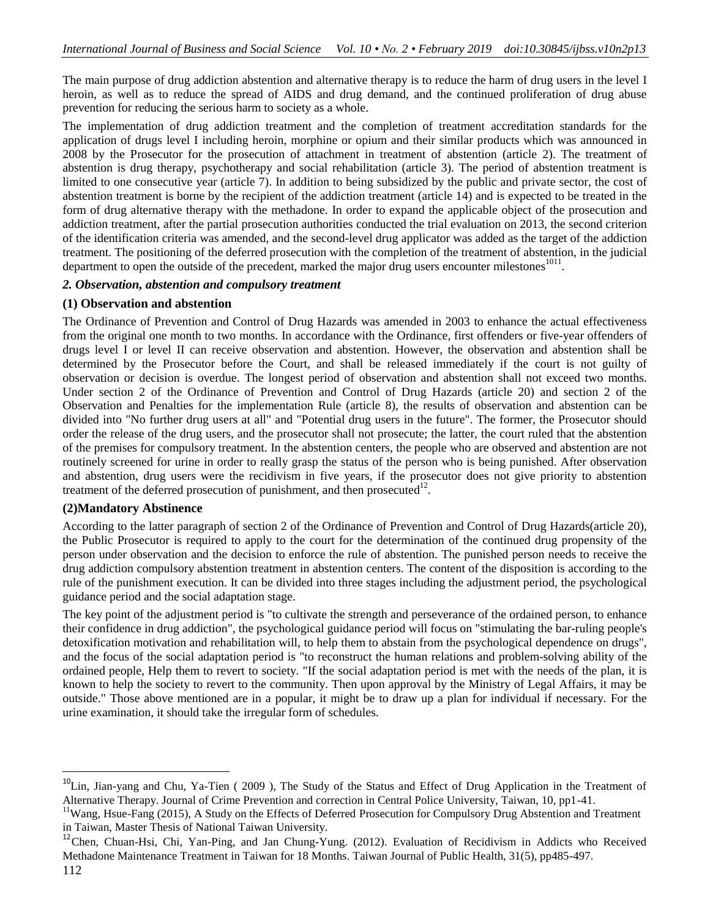The main purpose of drug addiction abstention and alternative therapy is to reduce the harm of drug users in the level I heroin, as well as to reduce the spread of AIDS and drug demand, and the continued proliferation of drug abuse prevention for reducing the serious harm to society as a whole.

The implementation of drug addiction treatment and the completion of treatment accreditation standards for the application of drugs level I including heroin, morphine or opium and their similar products which was announced in 2008 by the Prosecutor for the prosecution of attachment in treatment of abstention (article 2). The treatment of abstention is drug therapy, psychotherapy and social rehabilitation (article 3). The period of abstention treatment is limited to one consecutive year (article 7). In addition to being subsidized by the public and private sector, the cost of abstention treatment is borne by the recipient of the addiction treatment (article 14) and is expected to be treated in the form of drug alternative therapy with the methadone. In order to expand the applicable object of the prosecution and addiction treatment, after the partial prosecution authorities conducted the trial evaluation on 2013, the second criterion of the identification criteria was amended, and the second-level drug applicator was added as the target of the addiction treatment. The positioning of the deferred prosecution with the completion of the treatment of abstention, in the judicial department to open the outside of the precedent, marked the major drug users encounter milestones  $1011$ .

### *2. Observation, abstention and compulsory treatment*

### **(1) Observation and abstention**

The Ordinance of Prevention and Control of Drug Hazards was amended in 2003 to enhance the actual effectiveness from the original one month to two months. In accordance with the Ordinance, first offenders or five-year offenders of drugs level I or level II can receive observation and abstention. However, the observation and abstention shall be determined by the Prosecutor before the Court, and shall be released immediately if the court is not guilty of observation or decision is overdue. The longest period of observation and abstention shall not exceed two months. Under section 2 of the Ordinance of Prevention and Control of Drug Hazards (article 20) and section 2 of the Observation and Penalties for the implementation Rule (article 8), the results of observation and abstention can be divided into "No further drug users at all" and "Potential drug users in the future". The former, the Prosecutor should order the release of the drug users, and the prosecutor shall not prosecute; the latter, the court ruled that the abstention of the premises for compulsory treatment. In the abstention centers, the people who are observed and abstention are not routinely screened for urine in order to really grasp the status of the person who is being punished. After observation and abstention, drug users were the recidivism in five years, if the prosecutor does not give priority to abstention treatment of the deferred prosecution of punishment, and then prosecuted $12$ .

#### **(2)Mandatory Abstinence**

According to the latter paragraph of section 2 of the Ordinance of Prevention and Control of Drug Hazards(article 20), the Public Prosecutor is required to apply to the court for the determination of the continued drug propensity of the person under observation and the decision to enforce the rule of abstention. The punished person needs to receive the drug addiction compulsory abstention treatment in abstention centers. The content of the disposition is according to the rule of the punishment execution. It can be divided into three stages including the adjustment period, the psychological guidance period and the social adaptation stage.

The key point of the adjustment period is "to cultivate the strength and perseverance of the ordained person, to enhance their confidence in drug addiction", the psychological guidance period will focus on "stimulating the bar-ruling people's detoxification motivation and rehabilitation will, to help them to abstain from the psychological dependence on drugs", and the focus of the social adaptation period is "to reconstruct the human relations and problem-solving ability of the ordained people, Help them to revert to society. "If the social adaptation period is met with the needs of the plan, it is known to help the society to revert to the community. Then upon approval by the Ministry of Legal Affairs, it may be outside." Those above mentioned are in a popular, it might be to draw up a plan for individual if necessary. For the urine examination, it should take the irregular form of schedules.

 $^{10}$ Lin, Jian-yang and Chu, Ya-Tien (2009), The Study of the Status and Effect of Drug Application in the Treatment of Alternative Therapy. Journal of Crime Prevention and correction in Central Police University, Taiwan, 10, pp1-41.

<sup>&</sup>lt;sup>11</sup>Wang, Hsue-Fang (2015), A Study on the Effects of Deferred Prosecution for Compulsory Drug Abstention and Treatment in Taiwan, Master Thesis of National Taiwan University.

<sup>&</sup>lt;sup>12</sup>Chen, Chuan-Hsi, Chi, Yan-Ping, and Jan Chung-Yung. (2012). Evaluation of Recidivism in Addicts who Received Methadone Maintenance Treatment in Taiwan for 18 Months. Taiwan Journal of Public Health, 31(5), pp485-497.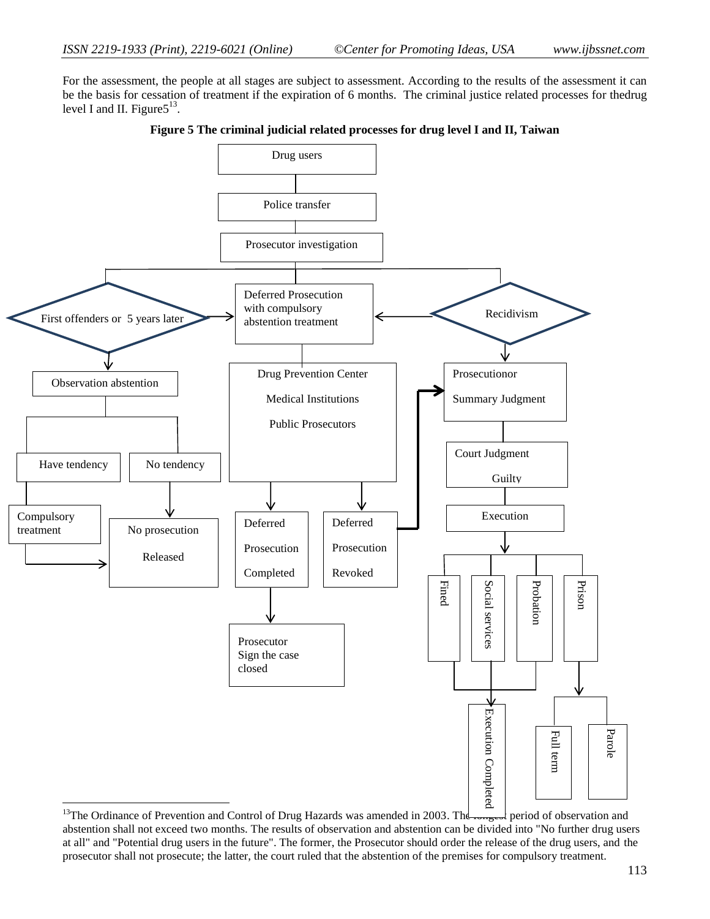For the assessment, the people at all stages are subject to assessment. According to the results of the assessment it can be the basis for cessation of treatment if the expiration of 6 months. The criminal justice related processes for thedrug level I and II. Figure $5^{13}$ .



**Figure 5 The criminal judicial related processes for drug level I and II, Taiwan**

<sup>&</sup>lt;sup>13</sup>The Ordinance of Prevention and Control of Drug Hazards was amended in 2003. The  $\frac{1}{\text{const}}$  period of observation and abstention shall not exceed two months. The results of observation and abstention can be divided into "No further drug users at all" and "Potential drug users in the future". The former, the Prosecutor should order the release of the drug users, and the prosecutor shall not prosecute; the latter, the court ruled that the abstention of the premises for compulsory treatment.